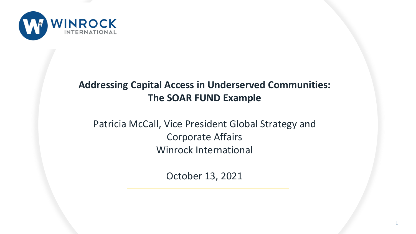

## **Addressing Capital Access in Underserved Communities: The SOAR FUND Example**

## Patricia McCall, Vice President Global Strategy and Corporate Affairs Winrock International

October 13, 2021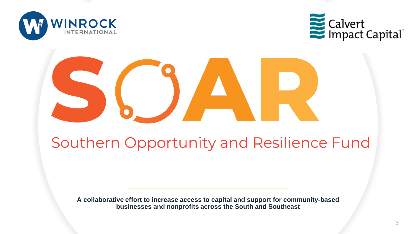



# Southern Opportunity and Resilience Fund

**A collaborative effort to increase access to capital and support for community-based businesses and nonprofits across the South and Southeast**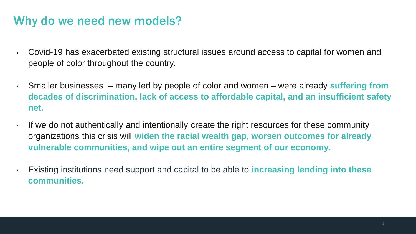# Why do we need new models?

- Covid-19 has exacerbated existing structural issues around access to capital for women and people of color throughout the country.
- Smaller businesses many led by people of color and women were already **suffering from decades of discrimination, lack of access to affordable capital, and an insufficient safety net.**
- If we do not authentically and intentionally create the right resources for these community organizations this crisis will **widen the racial wealth gap, worsen outcomes for already vulnerable communities, and wipe out an entire segment of our economy.** 
	- Existing institutions need support and capital to be able to **increasing lending into these communities.**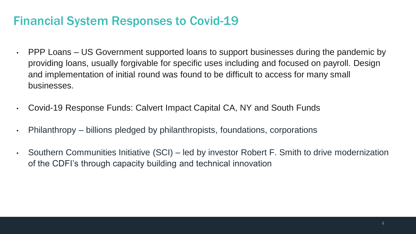# Financial System Responses to Covid-19

- PPP Loans US Government supported loans to support businesses during the pandemic by providing loans, usually forgivable for specific uses including and focused on payroll. Design and implementation of initial round was found to be difficult to access for many small businesses.
- Covid-19 Response Funds: Calvert Impact Capital CA, NY and South Funds
- Philanthropy billions pledged by philanthropists, foundations, corporations
- Southern Communities Initiative (SCI) led by investor Robert F. Smith to drive modernization of the CDFI's through capacity building and technical innovation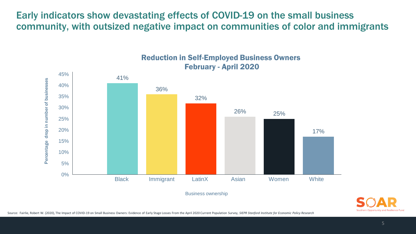Early indicators show devastating effects of COVID-19 on the small business community, with outsized negative impact on communities of color and immigrants



Reduction in Self-Employed Business Owners February - April 2020



Source: Fairlie, Robert W. (2020), The Impact of COVID-19 on Small Business Owners: Evidence of Early Stage Losses From the April 2020 Current Population Survey, *SIEPR Stanford Institute for Economic Policy Research*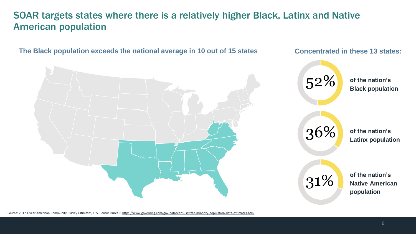### SOAR targets states where there is a relatively higher Black, Latinx and Native American population



Source: 2017 1-year American Community Survey estimates, U.S. Census Bureau: <https://www.governing.com/gov-data/census/state-minority-population-data-estimates.html>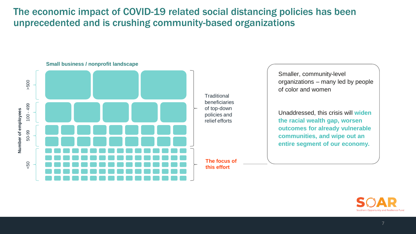The economic impact of COVID-19 related social distancing policies has been unprecedented and is crushing community-based organizations



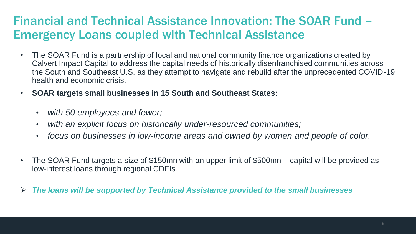# Financial and Technical Assistance Innovation: The SOAR Fund – Emergency Loans coupled with Technical Assistance

- The SOAR Fund is a partnership of local and national community finance organizations created by Calvert Impact Capital to address the capital needs of historically disenfranchised communities across the South and Southeast U.S. as they attempt to navigate and rebuild after the unprecedented COVID-19 health and economic crisis.
- **SOAR targets small businesses in 15 South and Southeast States:** 
	- *with 50 employees and fewer;*
	- *with an explicit focus on historically under-resourced communities;*
	- *focus on businesses in low-income areas and owned by women and people of color.*
- The SOAR Fund targets a size of \$150mn with an upper limit of \$500mn capital will be provided as low-interest loans through regional CDFIs.
- ➢ *The loans will be supported by Technical Assistance provided to the small businesses*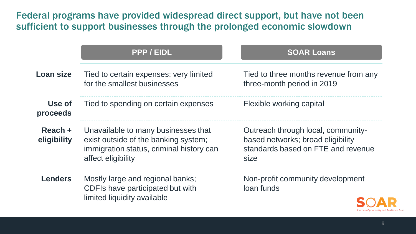Federal programs have provided widespread direct support, but have not been sufficient to support businesses through the prolonged economic slowdown

|                        | PPP / EIDL                                                                                                                                    | <b>SOAR Loans</b>                                                                                                     |
|------------------------|-----------------------------------------------------------------------------------------------------------------------------------------------|-----------------------------------------------------------------------------------------------------------------------|
| <b>Loan size</b>       | Tied to certain expenses; very limited<br>for the smallest businesses                                                                         | Tied to three months revenue from any<br>three-month period in 2019                                                   |
| Use of<br>proceeds     | Tied to spending on certain expenses                                                                                                          | Flexible working capital                                                                                              |
| Reach +<br>eligibility | Unavailable to many businesses that<br>exist outside of the banking system;<br>immigration status, criminal history can<br>affect eligibility | Outreach through local, community-<br>based networks; broad eligibility<br>standards based on FTE and revenue<br>size |
| <b>Lenders</b>         | Mostly large and regional banks;<br>CDFIs have participated but with<br>limited liquidity available                                           | Non-profit community development<br>loan funds                                                                        |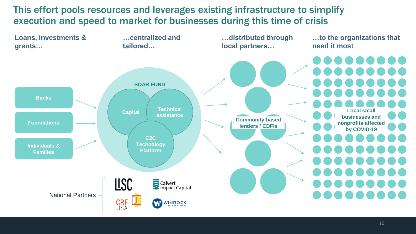This effort pools resources and leverages existing infrastructure to simplify execution and speed to market for businesses during this time of crisis

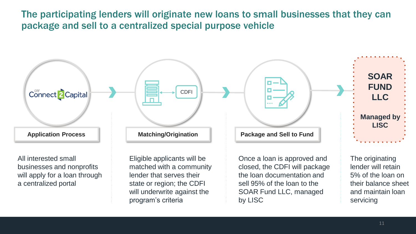The participating lenders will originate new loans to small businesses that they can package and sell to a centralized special purpose vehicle



by LISC

servicing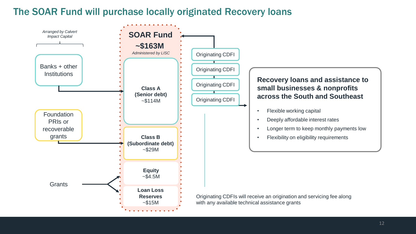### The SOAR Fund will purchase locally originated Recovery loans

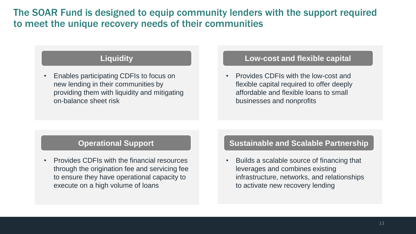The SOAR Fund is designed to equip community lenders with the support required to meet the unique recovery needs of their communities

• Enables participating CDFIs to focus on new lending in their communities by providing them with liquidity and mitigating on-balance sheet risk

### **Liquidity Low-cost and flexible capital**

• Provides CDFIs with the low-cost and flexible capital required to offer deeply affordable and flexible loans to small businesses and nonprofits

### **Operational Support**

• Provides CDFIs with the financial resources through the origination fee and servicing fee to ensure they have operational capacity to execute on a high volume of loans

#### **Sustainable and Scalable Partnership**

• Builds a scalable source of financing that leverages and combines existing infrastructure, networks, and relationships to activate new recovery lending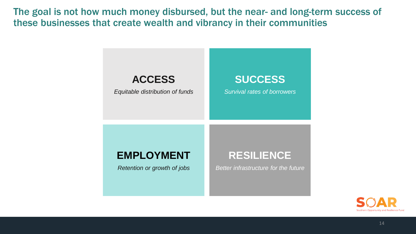The goal is not how much money disbursed, but the near- and long-term success of these businesses that create wealth and vibrancy in their communities



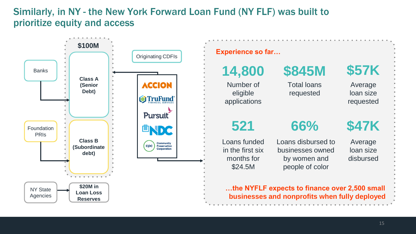### Similarly, in NY - the New York Forward Loan Fund (NY FLF) was built to prioritize equity and access

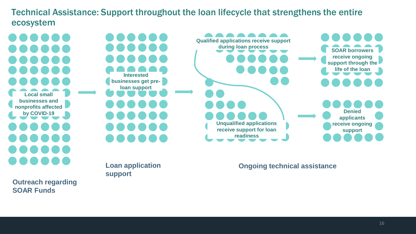Technical Assistance: Support throughout the loan lifecycle that strengthens the entire ecosystem

**Local small businesses and nonprofits affected by COVID-19 Interested businesses get preloan support Qualified applications receive support during loan process SOAR borrowers receive ongoing support through the life of the loan Unqualified applications receive support for loan readiness Denied applicants receive ongoing support**

**Outreach regarding support**

**Loan application** 

**SOAR Funds**

**Ongoing technical assistance**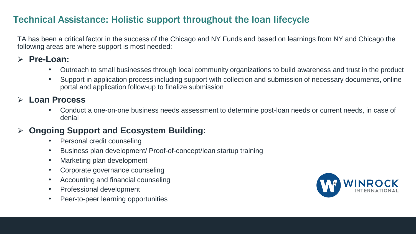### Technical Assistance: Holistic support throughout the loan lifecycle

TA has been a critical factor in the success of the Chicago and NY Funds and based on learnings from NY and Chicago the following areas are where support is most needed:

### ➢ **Pre-Loan:**

- Outreach to small businesses through local community organizations to build awareness and trust in the product
- Support in application process including support with collection and submission of necessary documents, online portal and application follow-up to finalize submission

### ➢ **Loan Process**

• Conduct a one-on-one business needs assessment to determine post-loan needs or current needs, in case of denial

### ➢ **Ongoing Support and Ecosystem Building:**

- Personal credit counseling
- Business plan development/ Proof-of-concept/lean startup training
- Marketing plan development
- Corporate governance counseling
- Accounting and financial counseling
- Professional development
- Peer-to-peer learning opportunities

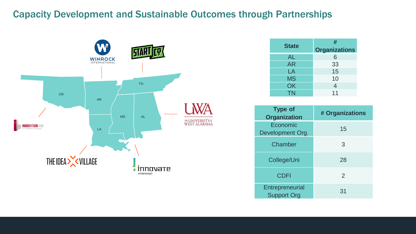### Capacity Development and Sustainable Outcomes through Partnerships



| <b>State</b> | #                    |
|--------------|----------------------|
|              | <b>Organizations</b> |
| <b>AL</b>    | 6                    |
| <b>AR</b>    | 33                   |
| LA           | 15                   |
| <b>MS</b>    | 10                   |
| OK           | 4                    |
| <b>TN</b>    | 11                   |

| <b>Type of</b><br><b>Organization</b> | # Organizations |
|---------------------------------------|-----------------|
| Economic<br>Development Org.          | 15              |
| Chamber                               | 3               |
| College/Uni                           | 28              |
| <b>CDFI</b>                           | $\mathcal{P}$   |
| Entrepreneurial<br><b>Support Org</b> | 31              |